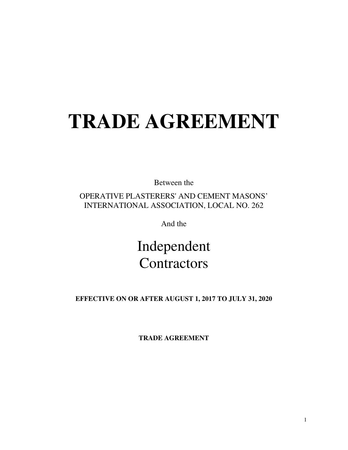# **TRADE AGREEMENT**

Between the

OPERATIVE PLASTERERS' AND CEMENT MASONS' INTERNATIONAL ASSOCIATION, LOCAL NO. 262

And the

Independent **Contractors** 

**EFFECTIVE ON OR AFTER AUGUST 1, 2017 TO JULY 31, 2020** 

**TRADE AGREEMENT**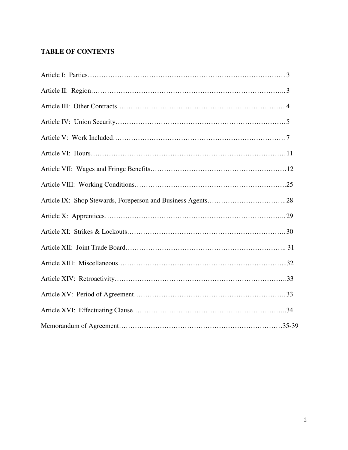## **TABLE OF CONTENTS**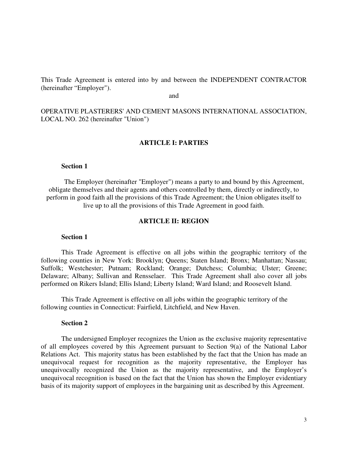This Trade Agreement is entered into by and between the INDEPENDENT CONTRACTOR (hereinafter "Employer").

and

OPERATIVE PLASTERERS' AND CEMENT MASONS INTERNATIONAL ASSOCIATION, LOCAL NO. 262 (hereinafter "Union")

#### **ARTICLE I: PARTIES**

#### **Section 1**

The Employer (hereinafter "Employer") means a party to and bound by this Agreement, obligate themselves and their agents and others controlled by them, directly or indirectly, to perform in good faith all the provisions of this Trade Agreement; the Union obligates itself to live up to all the provisions of this Trade Agreement in good faith.

#### **ARTICLE II: REGION**

#### **Section 1**

This Trade Agreement is effective on all jobs within the geographic territory of the following counties in New York: Brooklyn; Queens; Staten Island; Bronx; Manhattan; Nassau; Suffolk; Westchester; Putnam; Rockland; Orange; Dutchess; Columbia; Ulster; Greene; Delaware; Albany; Sullivan and Rensselaer. This Trade Agreement shall also cover all jobs performed on Rikers Island; Ellis Island; Liberty Island; Ward Island; and Roosevelt Island.

 This Trade Agreement is effective on all jobs within the geographic territory of the following counties in Connecticut: Fairfield, Litchfield, and New Haven.

#### **Section 2**

 The undersigned Employer recognizes the Union as the exclusive majority representative of all employees covered by this Agreement pursuant to Section 9(a) of the National Labor Relations Act. This majority status has been established by the fact that the Union has made an unequivocal request for recognition as the majority representative, the Employer has unequivocally recognized the Union as the majority representative, and the Employer's unequivocal recognition is based on the fact that the Union has shown the Employer evidentiary basis of its majority support of employees in the bargaining unit as described by this Agreement.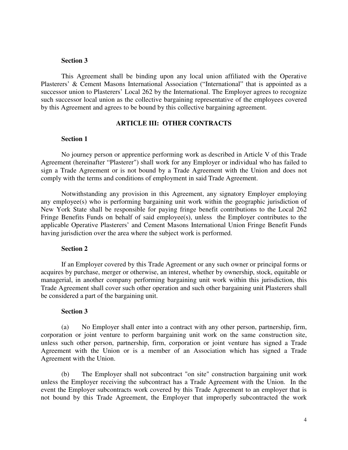#### **Section 3**

 This Agreement shall be binding upon any local union affiliated with the Operative Plasterers' & Cement Masons International Association ("International" that is appointed as a successor union to Plasterers' Local 262 by the International. The Employer agrees to recognize such successor local union as the collective bargaining representative of the employees covered by this Agreement and agrees to be bound by this collective bargaining agreement.

#### **ARTICLE III: OTHER CONTRACTS**

#### **Section 1**

 No journey person or apprentice performing work as described in Article V of this Trade Agreement (hereinafter "Plasterer") shall work for any Employer or individual who has failed to sign a Trade Agreement or is not bound by a Trade Agreement with the Union and does not comply with the terms and conditions of employment in said Trade Agreement.

 Notwithstanding any provision in this Agreement, any signatory Employer employing any employee(s) who is performing bargaining unit work within the geographic jurisdiction of New York State shall be responsible for paying fringe benefit contributions to the Local 262 Fringe Benefits Funds on behalf of said employee(s), unless the Employer contributes to the applicable Operative Plasterers' and Cement Masons International Union Fringe Benefit Funds having jurisdiction over the area where the subject work is performed.

#### **Section 2**

 If an Employer covered by this Trade Agreement or any such owner or principal forms or acquires by purchase, merger or otherwise, an interest, whether by ownership, stock, equitable or managerial, in another company performing bargaining unit work within this jurisdiction, this Trade Agreement shall cover such other operation and such other bargaining unit Plasterers shall be considered a part of the bargaining unit.

#### **Section 3**

 (a) No Employer shall enter into a contract with any other person, partnership, firm, corporation or joint venture to perform bargaining unit work on the same construction site, unless such other person, partnership, firm, corporation or joint venture has signed a Trade Agreement with the Union or is a member of an Association which has signed a Trade Agreement with the Union.

 (b) The Employer shall not subcontract "on site" construction bargaining unit work unless the Employer receiving the subcontract has a Trade Agreement with the Union. In the event the Employer subcontracts work covered by this Trade Agreement to an employer that is not bound by this Trade Agreement, the Employer that improperly subcontracted the work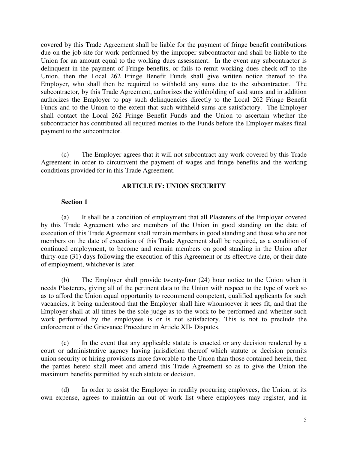covered by this Trade Agreement shall be liable for the payment of fringe benefit contributions due on the job site for work performed by the improper subcontractor and shall be liable to the Union for an amount equal to the working dues assessment. In the event any subcontractor is delinquent in the payment of Fringe benefits, or fails to remit working dues check-off to the Union, then the Local 262 Fringe Benefit Funds shall give written notice thereof to the Employer, who shall then be required to withhold any sums due to the subcontractor. The subcontractor, by this Trade Agreement, authorizes the withholding of said sums and in addition authorizes the Employer to pay such delinquencies directly to the Local 262 Fringe Benefit Funds and to the Union to the extent that such withheld sums are satisfactory. The Employer shall contact the Local 262 Fringe Benefit Funds and the Union to ascertain whether the subcontractor has contributed all required monies to the Funds before the Employer makes final payment to the subcontractor.

 (c) The Employer agrees that it will not subcontract any work covered by this Trade Agreement in order to circumvent the payment of wages and fringe benefits and the working conditions provided for in this Trade Agreement.

## **ARTICLE IV: UNION SECURITY**

## **Section 1**

 (a) It shall be a condition of employment that all Plasterers of the Employer covered by this Trade Agreement who are members of the Union in good standing on the date of execution of this Trade Agreement shall remain members in good standing and those who are not members on the date of execution of this Trade Agreement shall be required, as a condition of continued employment, to become and remain members on good standing in the Union after thirty-one (31) days following the execution of this Agreement or its effective date, or their date of employment, whichever is later.

 (b) The Employer shall provide twenty-four (24) hour notice to the Union when it needs Plasterers, giving all of the pertinent data to the Union with respect to the type of work so as to afford the Union equal opportunity to recommend competent, qualified applicants for such vacancies, it being understood that the Employer shall hire whomsoever it sees fit, and that the Employer shall at all times be the sole judge as to the work to be performed and whether such work performed by the employees is or is not satisfactory. This is not to preclude the enforcement of the Grievance Procedure in Article XII- Disputes.

 (c) In the event that any applicable statute is enacted or any decision rendered by a court or administrative agency having jurisdiction thereof which statute or decision permits union security or hiring provisions more favorable to the Union than those contained herein, then the parties hereto shall meet and amend this Trade Agreement so as to give the Union the maximum benefits permitted by such statute or decision.

 (d) In order to assist the Employer in readily procuring employees, the Union, at its own expense, agrees to maintain an out of work list where employees may register, and in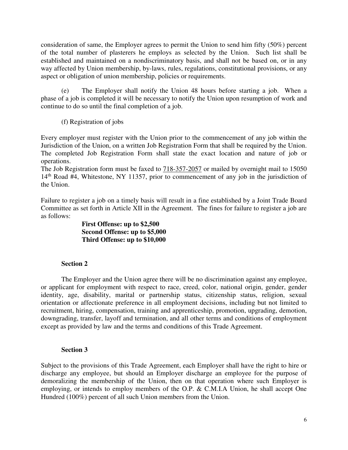consideration of same, the Employer agrees to permit the Union to send him fifty (50%) percent of the total number of plasterers he employs as selected by the Union. Such list shall be established and maintained on a nondiscriminatory basis, and shall not be based on, or in any way affected by Union membership, by-laws, rules, regulations, constitutional provisions, or any aspect or obligation of union membership, policies or requirements.

 (e) The Employer shall notify the Union 48 hours before starting a job. When a phase of a job is completed it will be necessary to notify the Union upon resumption of work and continue to do so until the final completion of a job.

(f) Registration of jobs

Every employer must register with the Union prior to the commencement of any job within the Jurisdiction of the Union, on a written Job Registration Form that shall be required by the Union. The completed Job Registration Form shall state the exact location and nature of job or operations.

The Job Registration form must be faxed to 718-357-2057 or mailed by overnight mail to 15050 14th Road #4, Whitestone, NY 11357, prior to commencement of any job in the jurisdiction of the Union.

Failure to register a job on a timely basis will result in a fine established by a Joint Trade Board Committee as set forth in Article XII in the Agreement. The fines for failure to register a job are as follows:

> **First Offense: up to \$2,500 Second Offense: up to \$5,000 Third Offense: up to \$10,000**

## **Section 2**

 The Employer and the Union agree there will be no discrimination against any employee, or applicant for employment with respect to race, creed, color, national origin, gender, gender identity, age, disability, marital or partnership status, citizenship status, religion, sexual orientation or affectionate preference in all employment decisions, including but not limited to recruitment, hiring, compensation, training and apprenticeship, promotion, upgrading, demotion, downgrading, transfer, layoff and termination, and all other terms and conditions of employment except as provided by law and the terms and conditions of this Trade Agreement.

## **Section 3**

Subject to the provisions of this Trade Agreement, each Employer shall have the right to hire or discharge any employee, but should an Employer discharge an employee for the purpose of demoralizing the membership of the Union, then on that operation where such Employer is employing, or intends to employ members of the O.P. & C.M.I.A Union, he shall accept One Hundred (100%) percent of all such Union members from the Union.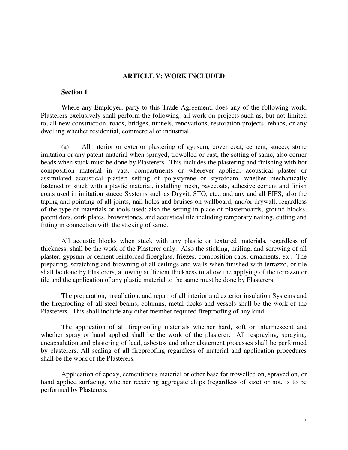#### **ARTICLE V: WORK INCLUDED**

#### **Section 1**

Where any Employer, party to this Trade Agreement, does any of the following work, Plasterers exclusively shall perform the following: all work on projects such as, but not limited to, all new construction, roads, bridges, tunnels, renovations, restoration projects, rehabs, or any dwelling whether residential, commercial or industrial.

 (a) All interior or exterior plastering of gypsum, cover coat, cement, stucco, stone imitation or any patent material when sprayed, trowelled or cast, the setting of same, also corner beads when stuck must be done by Plasterers. This includes the plastering and finishing with hot composition material in vats, compartments or wherever applied; acoustical plaster or assimilated acoustical plaster; setting of polystyrene or styrofoam, whether mechanically fastened or stuck with a plastic material, installing mesh, basecoats, adhesive cement and finish coats used in imitation stucco Systems such as Dryvit, STO, etc., and any and all EIFS; also the taping and pointing of all joints, nail holes and bruises on wallboard, and/or drywall, regardless of the type of materials or tools used; also the setting in place of plasterboards, ground blocks, patent dots, cork plates, brownstones, and acoustical tile including temporary nailing, cutting and fitting in connection with the sticking of same.

All acoustic blocks when stuck with any plastic or textured materials, regardless of thickness, shall be the work of the Plasterer only. Also the sticking, nailing, and screwing of all plaster, gypsum or cement reinforced fiberglass, friezes, composition caps, ornaments, etc. The preparing, scratching and browning of all ceilings and walls when finished with terrazzo, or tile shall be done by Plasterers, allowing sufficient thickness to allow the applying of the terrazzo or tile and the application of any plastic material to the same must be done by Plasterers.

 The preparation, installation, and repair of all interior and exterior insulation Systems and the fireproofing of all steel beams, columns, metal decks and vessels shall be the work of the Plasterers. This shall include any other member required fireproofing of any kind.

 The application of all fireproofing materials whether hard, soft or inturmescent and whether spray or hand applied shall be the work of the plasterer. All respraying, spraying, encapsulation and plastering of lead, asbestos and other abatement processes shall be performed by plasterers. All sealing of all fireproofing regardless of material and application procedures shall be the work of the Plasterers.

 Application of epoxy, cementitious material or other base for trowelled on, sprayed on, or hand applied surfacing, whether receiving aggregate chips (regardless of size) or not, is to be performed by Plasterers.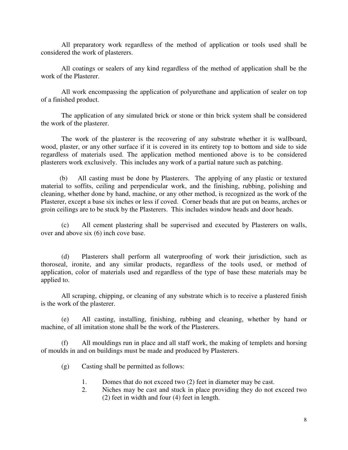All preparatory work regardless of the method of application or tools used shall be considered the work of plasterers.

 All coatings or sealers of any kind regardless of the method of application shall be the work of the Plasterer.

 All work encompassing the application of polyurethane and application of sealer on top of a finished product.

 The application of any simulated brick or stone or thin brick system shall be considered the work of the plasterer.

 The work of the plasterer is the recovering of any substrate whether it is wallboard, wood, plaster, or any other surface if it is covered in its entirety top to bottom and side to side regardless of materials used. The application method mentioned above is to be considered plasterers work exclusively. This includes any work of a partial nature such as patching.

 (b) All casting must be done by Plasterers. The applying of any plastic or textured material to soffits, ceiling and perpendicular work, and the finishing, rubbing, polishing and cleaning, whether done by hand, machine, or any other method, is recognized as the work of the Plasterer, except a base six inches or less if coved. Corner beads that are put on beams, arches or groin ceilings are to be stuck by the Plasterers. This includes window heads and door heads.

 (c) All cement plastering shall be supervised and executed by Plasterers on walls, over and above six (6) inch cove base.

(d) Plasterers shall perform all waterproofing of work their jurisdiction, such as thoroseal, ironite, and any similar products, regardless of the tools used, or method of application, color of materials used and regardless of the type of base these materials may be applied to.

 All scraping, chipping, or cleaning of any substrate which is to receive a plastered finish is the work of the plasterer.

(e) All casting, installing, finishing, rubbing and cleaning, whether by hand or machine, of all imitation stone shall be the work of the Plasterers.

(f) All mouldings run in place and all staff work, the making of templets and horsing of moulds in and on buildings must be made and produced by Plasterers.

- (g) Casting shall be permitted as follows:
	- 1. Domes that do not exceed two (2) feet in diameter may be cast.
	- 2. Niches may be cast and stuck in place providing they do not exceed two (2) feet in width and four (4) feet in length.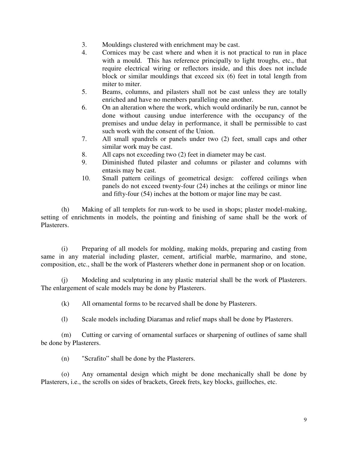- 3. Mouldings clustered with enrichment may be cast.
- 4. Cornices may be cast where and when it is not practical to run in place with a mould. This has reference principally to light troughs, etc., that require electrical wiring or reflectors inside, and this does not include block or similar mouldings that exceed six (6) feet in total length from miter to miter.
- 5. Beams, columns, and pilasters shall not be cast unless they are totally enriched and have no members paralleling one another.
- 6. On an alteration where the work, which would ordinarily be run, cannot be done without causing undue interference with the occupancy of the premises and undue delay in performance, it shall be permissible to cast such work with the consent of the Union.
- 7. All small spandrels or panels under two (2) feet, small caps and other similar work may be cast.
- 8. All caps not exceeding two (2) feet in diameter may be cast.
- 9. Diminished fluted pilaster and columns or pilaster and columns with entasis may be cast.
- 10. Small pattern ceilings of geometrical design: coffered ceilings when panels do not exceed twenty-four (24) inches at the ceilings or minor line and fifty-four (54) inches at the bottom or major line may be cast.

(h) Making of all templets for run-work to be used in shops; plaster model-making, setting of enrichments in models, the pointing and finishing of same shall be the work of Plasterers.

(i) Preparing of all models for molding, making molds, preparing and casting from same in any material including plaster, cement, artificial marble, marmarino, and stone, composition, etc., shall be the work of Plasterers whether done in permanent shop or on location.

(j) Modeling and sculpturing in any plastic material shall be the work of Plasterers. The enlargement of scale models may be done by Plasterers.

(k) All ornamental forms to be recarved shall be done by Plasterers.

(l) Scale models including Diaramas and relief maps shall be done by Plasterers.

(m) Cutting or carving of ornamental surfaces or sharpening of outlines of same shall be done by Plasterers.

(n) "Scrafito" shall be done by the Plasterers.

(o) Any ornamental design which might be done mechanically shall be done by Plasterers, i.e., the scrolls on sides of brackets, Greek frets, key blocks, guilloches, etc.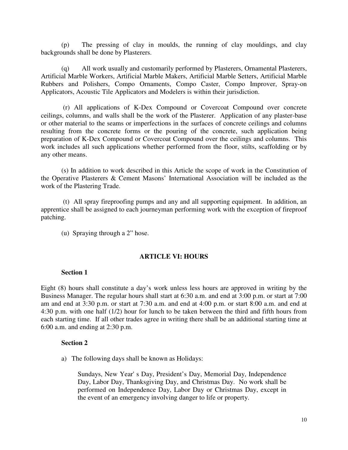(p) The pressing of clay in moulds, the running of clay mouldings, and clay backgrounds shall be done by Plasterers.

(q) All work usually and customarily performed by Plasterers, Ornamental Plasterers, Artificial Marble Workers, Artificial Marble Makers, Artificial Marble Setters, Artificial Marble Rubbers and Polishers, Compo Ornaments, Compo Caster, Compo Improver, Spray-on Applicators, Acoustic Tile Applicators and Modelers is within their jurisdiction.

 (r) All applications of K-Dex Compound or Covercoat Compound over concrete ceilings, columns, and walls shall be the work of the Plasterer. Application of any plaster-base or other material to the seams or imperfections in the surfaces of concrete ceilings and columns resulting from the concrete forms or the pouring of the concrete, such application being preparation of K-Dex Compound or Covercoat Compound over the ceilings and columns. This work includes all such applications whether performed from the floor, stilts, scaffolding or by any other means.

(s) In addition to work described in this Article the scope of work in the Constitution of the Operative Plasterers & Cement Masons' International Association will be included as the work of the Plastering Trade.

 (t) All spray fireproofing pumps and any and all supporting equipment. In addition, an apprentice shall be assigned to each journeyman performing work with the exception of fireproof patching.

(u) Spraying through a 2" hose.

#### **ARTICLE VI: HOURS**

#### **Section 1**

Eight (8) hours shall constitute a day's work unless less hours are approved in writing by the Business Manager. The regular hours shall start at 6:30 a.m. and end at 3:00 p.m. or start at 7:00 am and end at 3:30 p.m. or start at 7:30 a.m. and end at 4:00 p.m. or start 8:00 a.m. and end at 4:30 p.m. with one half (1/2) hour for lunch to be taken between the third and fifth hours from each starting time. If all other trades agree in writing there shall be an additional starting time at 6:00 a.m. and ending at 2:30 p.m.

#### **Section 2**

a) The following days shall be known as Holidays:

Sundays, New Year' s Day, President's Day, Memorial Day, Independence Day, Labor Day, Thanksgiving Day, and Christmas Day. No work shall be performed on Independence Day, Labor Day or Christmas Day, except in the event of an emergency involving danger to life or property.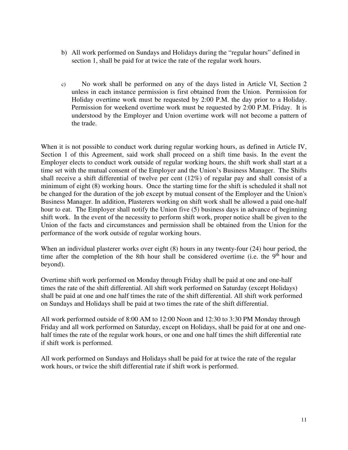- b) All work performed on Sundays and Holidays during the "regular hours" defined in section 1, shall be paid for at twice the rate of the regular work hours.
- c) No work shall be performed on any of the days listed in Article VI, Section 2 unless in each instance permission is first obtained from the Union. Permission for Holiday overtime work must be requested by 2:00 P.M. the day prior to a Holiday. Permission for weekend overtime work must be requested by 2:00 P.M. Friday. It is understood by the Employer and Union overtime work will not become a pattern of the trade.

When it is not possible to conduct work during regular working hours, as defined in Article IV, Section 1 of this Agreement, said work shall proceed on a shift time basis. In the event the Employer elects to conduct work outside of regular working hours, the shift work shall start at a time set with the mutual consent of the Employer and the Union's Business Manager. The Shifts shall receive a shift differential of twelve per cent (12%) of regular pay and shall consist of a minimum of eight (8) working hours. Once the starting time for the shift is scheduled it shall not be changed for the duration of the job except by mutual consent of the Employer and the Union's Business Manager. In addition, Plasterers working on shift work shall be allowed a paid one-half hour to eat. The Employer shall notify the Union five (5) business days in advance of beginning shift work. In the event of the necessity to perform shift work, proper notice shall be given to the Union of the facts and circumstances and permission shall be obtained from the Union for the performance of the work outside of regular working hours.

When an individual plasterer works over eight (8) hours in any twenty-four (24) hour period, the time after the completion of the 8th hour shall be considered overtime (i.e. the  $9<sup>th</sup>$  hour and beyond).

Overtime shift work performed on Monday through Friday shall be paid at one and one-half times the rate of the shift differential. All shift work performed on Saturday (except Holidays) shall be paid at one and one half times the rate of the shift differential. All shift work performed on Sundays and Holidays shall be paid at two times the rate of the shift differential.

All work performed outside of 8:00 AM to 12:00 Noon and 12:30 to 3:30 PM Monday through Friday and all work performed on Saturday, except on Holidays, shall be paid for at one and onehalf times the rate of the regular work hours, or one and one half times the shift differential rate if shift work is performed.

All work performed on Sundays and Holidays shall be paid for at twice the rate of the regular work hours, or twice the shift differential rate if shift work is performed.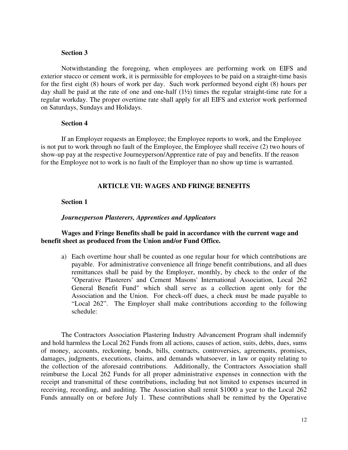#### **Section 3**

 Notwithstanding the foregoing, when employees are performing work on EIFS and exterior stucco or cement work, it is permissible for employees to be paid on a straight-time basis for the first eight (8) hours of work per day. Such work performed beyond eight (8) hours per day shall be paid at the rate of one and one-half (1½) times the regular straight-time rate for a regular workday. The proper overtime rate shall apply for all EIFS and exterior work performed on Saturdays, Sundays and Holidays.

#### **Section 4**

If an Employer requests an Employee; the Employee reports to work, and the Employee is not put to work through no fault of the Employee, the Employee shall receive (2) two hours of show-up pay at the respective Journeyperson/Apprentice rate of pay and benefits. If the reason for the Employee not to work is no fault of the Employer than no show up time is warranted.

## **ARTICLE VII: WAGES AND FRINGE BENEFITS**

#### **Section 1**

#### *Journeyperson Plasterers, Apprentices and Applicators*

## **Wages and Fringe Benefits shall be paid in accordance with the current wage and benefit sheet as produced from the Union and/or Fund Office.**

a) Each overtime hour shall be counted as one regular hour for which contributions are payable. For administrative convenience all fringe benefit contributions, and all dues remittances shall be paid by the Employer, monthly, by check to the order of the "Operative Plasterers' and Cement Masons' International Association, Local 262 General Benefit Fund" which shall serve as a collection agent only for the Association and the Union. For check-off dues, a check must be made payable to "Local 262". The Employer shall make contributions according to the following schedule:

The Contractors Association Plastering Industry Advancement Program shall indemnify and hold harmless the Local 262 Funds from all actions, causes of action, suits, debts, dues, sums of money, accounts, reckoning, bonds, bills, contracts, controversies, agreements, promises, damages, judgments, executions, claims, and demands whatsoever, in law or equity relating to the collection of the aforesaid contributions. Additionally, the Contractors Association shall reimburse the Local 262 Funds for all proper administrative expenses in connection with the receipt and transmittal of these contributions, including but not limited to expenses incurred in receiving, recording, and auditing. The Association shall remit \$1000 a year to the Local 262 Funds annually on or before July 1. These contributions shall be remitted by the Operative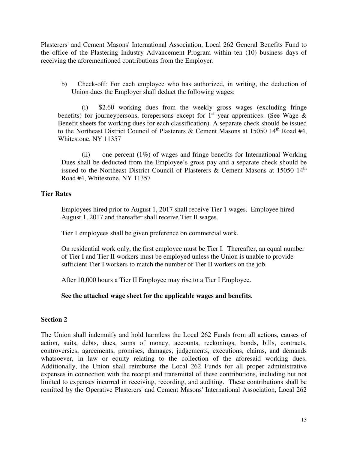Plasterers' and Cement Masons' International Association, Local 262 General Benefits Fund to the office of the Plastering Industry Advancement Program within ten (10) business days of receiving the aforementioned contributions from the Employer.

b) Check-off: For each employee who has authorized, in writing, the deduction of Union dues the Employer shall deduct the following wages:

(i) \$2.60 working dues from the weekly gross wages (excluding fringe benefits) for journeypersons, forepersons except for  $1<sup>st</sup>$  year apprentices. (See Wage & Benefit sheets for working dues for each classification). A separate check should be issued to the Northeast District Council of Plasterers & Cement Masons at 15050 14<sup>th</sup> Road #4, Whitestone, NY 11357

(ii) one percent  $(1\%)$  of wages and fringe benefits for International Working Dues shall be deducted from the Employee's gross pay and a separate check should be issued to the Northeast District Council of Plasterers & Cement Masons at 15050  $14<sup>th</sup>$ Road #4, Whitestone, NY 11357

## **Tier Rates**

Employees hired prior to August 1, 2017 shall receive Tier 1 wages. Employee hired August 1, 2017 and thereafter shall receive Tier II wages.

Tier 1 employees shall be given preference on commercial work.

On residential work only, the first employee must be Tier I. Thereafter, an equal number of Tier I and Tier II workers must be employed unless the Union is unable to provide sufficient Tier I workers to match the number of Tier II workers on the job.

After 10,000 hours a Tier II Employee may rise to a Tier I Employee.

**See the attached wage sheet for the applicable wages and benefits**.

## **Section 2**

The Union shall indemnify and hold harmless the Local 262 Funds from all actions, causes of action, suits, debts, dues, sums of money, accounts, reckonings, bonds, bills, contracts, controversies, agreements, promises, damages, judgements, executions, claims, and demands whatsoever, in law or equity relating to the collection of the aforesaid working dues. Additionally, the Union shall reimburse the Local 262 Funds for all proper administrative expenses in connection with the receipt and transmittal of these contributions, including but not limited to expenses incurred in receiving, recording, and auditing. These contributions shall be remitted by the Operative Plasterers' and Cement Masons' International Association, Local 262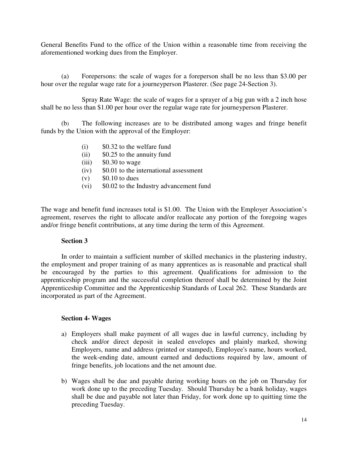General Benefits Fund to the office of the Union within a reasonable time from receiving the aforementioned working dues from the Employer.

 (a) Forepersons: the scale of wages for a foreperson shall be no less than \$3.00 per hour over the regular wage rate for a journeyperson Plasterer. (See page 24-Section 3).

 Spray Rate Wage: the scale of wages for a sprayer of a big gun with a 2 inch hose shall be no less than \$1.00 per hour over the regular wage rate for journeyperson Plasterer.

(b) The following increases are to be distributed among wages and fringe benefit funds by the Union with the approval of the Employer:

- (i) \$0.32 to the welfare fund
- (ii) \$0.25 to the annuity fund
- $(iii)$  \$0.30 to wage
- (iv) \$0.01 to the international assessment
- $(v)$  \$0.10 to dues
- (vi) \$0.02 to the Industry advancement fund

The wage and benefit fund increases total is \$1.00. The Union with the Employer Association's agreement, reserves the right to allocate and/or reallocate any portion of the foregoing wages and/or fringe benefit contributions, at any time during the term of this Agreement.

## **Section 3**

 In order to maintain a sufficient number of skilled mechanics in the plastering industry, the employment and proper training of as many apprentices as is reasonable and practical shall be encouraged by the parties to this agreement. Qualifications for admission to the apprenticeship program and the successful completion thereof shall be determined by the Joint Apprenticeship Committee and the Apprenticeship Standards of Local 262. These Standards are incorporated as part of the Agreement.

## **Section 4- Wages**

- a) Employers shall make payment of all wages due in lawful currency, including by check and/or direct deposit in sealed envelopes and plainly marked, showing Employers, name and address (printed or stamped), Employee's name, hours worked, the week-ending date, amount earned and deductions required by law, amount of fringe benefits, job locations and the net amount due.
- b) Wages shall be due and payable during working hours on the job on Thursday for work done up to the preceding Tuesday. Should Thursday be a bank holiday, wages shall be due and payable not later than Friday, for work done up to quitting time the preceding Tuesday.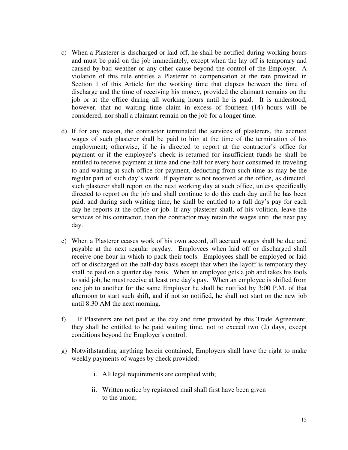- c) When a Plasterer is discharged or laid off, he shall be notified during working hours and must be paid on the job immediately, except when the lay off is temporary and caused by bad weather or any other cause beyond the control of the Employer. A violation of this rule entitles a Plasterer to compensation at the rate provided in Section 1 of this Article for the working time that elapses between the time of discharge and the time of receiving his money, provided the claimant remains on the job or at the office during all working hours until he is paid. It is understood, however, that no waiting time claim in excess of fourteen (14) hours will be considered, nor shall a claimant remain on the job for a longer time.
- d) If for any reason, the contractor terminated the services of plasterers, the accrued wages of such plasterer shall be paid to him at the time of the termination of his employment; otherwise, if he is directed to report at the contractor's office for payment or if the employee's check is returned for insufficient funds he shall be entitled to receive payment at time and one-half for every hour consumed in traveling to and waiting at such office for payment, deducting from such time as may be the regular part of such day's work. If payment is not received at the office, as directed, such plasterer shall report on the next working day at such office, unless specifically directed to report on the job and shall continue to do this each day until he has been paid, and during such waiting time, he shall be entitled to a full day's pay for each day he reports at the office or job. If any plasterer shall, of his volition, leave the services of his contractor, then the contractor may retain the wages until the next pay day.
- e) When a Plasterer ceases work of his own accord, all accrued wages shall be due and payable at the next regular payday. Employees when laid off or discharged shall receive one hour in which to pack their tools. Employees shall be employed or laid off or discharged on the half-day basis except that when the layoff is temporary they shall be paid on a quarter day basis. When an employee gets a job and takes his tools to said job, he must receive at least one day's pay. When an employee is shifted from one job to another for the same Employer he shall be notified by 3:00 P.M. of that afternoon to start such shift, and if not so notified, he shall not start on the new job until 8:30 AM the next morning.
- f) If Plasterers are not paid at the day and time provided by this Trade Agreement, they shall be entitled to be paid waiting time, not to exceed two (2) days, except conditions beyond the Employer's control.
- g) Notwithstanding anything herein contained, Employers shall have the right to make weekly payments of wages by check provided:
	- i. All legal requirements are complied with;
	- ii. Written notice by registered mail shall first have been given to the union;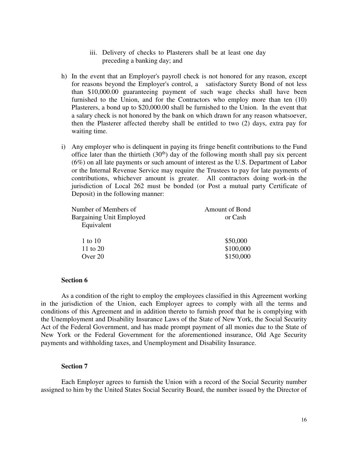- iii. Delivery of checks to Plasterers shall be at least one day preceding a banking day; and
- h) In the event that an Employer's payroll check is not honored for any reason, except for reasons beyond the Employer's control, a satisfactory Surety Bond of not less than \$10,000.00 guaranteeing payment of such wage checks shall have been furnished to the Union, and for the Contractors who employ more than ten (10) Plasterers, a bond up to \$20,000.00 shall be furnished to the Union. In the event that a salary check is not honored by the bank on which drawn for any reason whatsoever, then the Plasterer affected thereby shall be entitled to two (2) days, extra pay for waiting time.
- i) Any employer who is delinquent in paying its fringe benefit contributions to the Fund office later than the thirtieth  $(30<sup>th</sup>)$  day of the following month shall pay six percent (6%) on all late payments or such amount of interest as the U.S. Department of Labor or the Internal Revenue Service may require the Trustees to pay for late payments of contributions, whichever amount is greater. All contractors doing work-in the jurisdiction of Local 262 must be bonded (or Post a mutual party Certificate of Deposit) in the following manner:

| Number of Members of            | <b>Amount of Bond</b> |
|---------------------------------|-----------------------|
| <b>Bargaining Unit Employed</b> | or Cash               |
| Equivalent                      |                       |
| 1 to 10                         | \$50,000              |
| 11 to 20                        | \$100,000             |
| Over 20                         | \$150,000             |
|                                 |                       |

#### **Section 6**

As a condition of the right to employ the employees classified in this Agreement working in the jurisdiction of the Union, each Employer agrees to comply with all the terms and conditions of this Agreement and in addition thereto to furnish proof that he is complying with the Unemployment and Disability Insurance Laws of the State of New York, the Social Security Act of the Federal Government, and has made prompt payment of all monies due to the State of New York or the Federal Government for the aforementioned insurance, Old Age Security payments and withholding taxes, and Unemployment and Disability Insurance.

#### **Section 7**

Each Employer agrees to furnish the Union with a record of the Social Security number assigned to him by the United States Social Security Board, the number issued by the Director of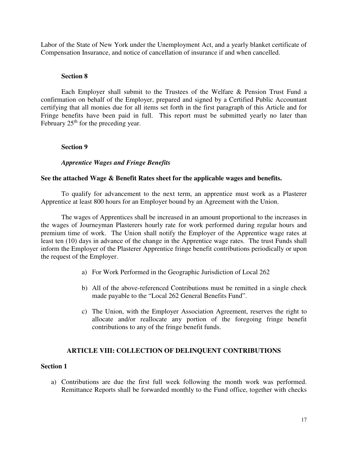Labor of the State of New York under the Unemployment Act, and a yearly blanket certificate of Compensation Insurance, and notice of cancellation of insurance if and when cancelled.

## **Section 8**

Each Employer shall submit to the Trustees of the Welfare & Pension Trust Fund a confirmation on behalf of the Employer, prepared and signed by a Certified Public Accountant certifying that all monies due for all items set forth in the first paragraph of this Article and for Fringe benefits have been paid in full. This report must be submitted yearly no later than February  $25<sup>th</sup>$  for the preceding year.

## **Section 9**

## *Apprentice Wages and Fringe Benefits*

## **See the attached Wage & Benefit Rates sheet for the applicable wages and benefits.**

To qualify for advancement to the next term, an apprentice must work as a Plasterer Apprentice at least 800 hours for an Employer bound by an Agreement with the Union.

 The wages of Apprentices shall be increased in an amount proportional to the increases in the wages of Journeyman Plasterers hourly rate for work performed during regular hours and premium time of work. The Union shall notify the Employer of the Apprentice wage rates at least ten (10) days in advance of the change in the Apprentice wage rates. The trust Funds shall inform the Employer of the Plasterer Apprentice fringe benefit contributions periodically or upon the request of the Employer.

- a) For Work Performed in the Geographic Jurisdiction of Local 262
- b) All of the above-referenced Contributions must be remitted in a single check made payable to the "Local 262 General Benefits Fund".
- c) The Union, with the Employer Association Agreement, reserves the right to allocate and/or reallocate any portion of the foregoing fringe benefit contributions to any of the fringe benefit funds.

## **ARTICLE VIII: COLLECTION OF DELINQUENT CONTRIBUTIONS**

## **Section 1**

a) Contributions are due the first full week following the month work was performed. Remittance Reports shall be forwarded monthly to the Fund office, together with checks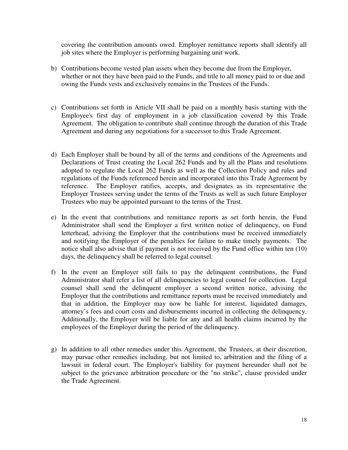covering the contribution amounts owed. Employer remittance reports shall identify all job sites where the Employer is performing bargaining unit work.

- b) Contributions become vested plan assets when they become due from the Employer, whether or not they have been paid to the Funds, and title to all money paid to or due and owing the Funds vests and exclusively remains in the Trustees of the Funds.
- c) Contributions set forth in Article VII shall be paid on a monthly basis starting with the Employee's first day of employment in a job classification covered by this Trade Agreement. The obligation to contribute shall continue through the duration of this Trade Agreement and during any negotiations for a successor to this Trade Agreement.
- d) Each Employer shall be bound by all of the terms and conditions of the Agreements and Declarations of Trust creating the Local 262 Funds and by all the Plans and resolutions adopted to regulate the Local 262 Funds as well as the Collection Policy and rules and regulations of the Funds referenced herein and incorporated into this Trade Agreement by reference. The Employer ratifies, accepts, and designates as its representative the Employer Trustees serving under the terms of the Trusts as well as such future Employer Trustees who may be appointed pursuant to the terms of the Trust.
- e) In the event that contributions and remittance reports as set forth herein, the Fund Administrator shall send the Employer a first written notice of delinquency, on Fund letterhead, advising the Employer that the contributions must be received immediately and notifying the Employer of the penalties for failure to make timely payments. The notice shall also advise that if payment is not received by the Fund office within ten (10) days, the delinquency shall be referred to legal counsel.
- f) In the event an Employer still fails to pay the delinquent contributions, the Fund Administrator shall refer a list of all delinquencies to legal counsel for collection. Legal counsel shall send the delinquent employer a second written notice, advising the Employer that the contributions and remittance reports must be received immediately and that in addition, the Employer may now be liable for interest, liquidated damages, attorney's fees and court costs and disbursements incurred in collecting the delinquency. Additionally, the Employer will be liable for any and all health claims incurred by the employees of the Employer during the period of the delinquency.
- g) In addition to all other remedies under this Agreement, the Trustees, at their discretion, may pursue other remedies including, but not limited to, arbitration and the filing of a lawsuit in federal court. The Employer's liability for payment hereunder shall not be subject to the grievance arbitration procedure or the "no strike", clause provided under the Trade Agreement.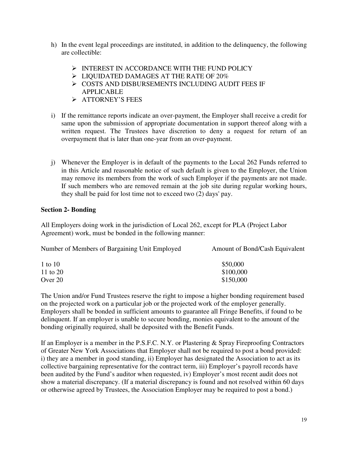- h) In the event legal proceedings are instituted, in addition to the delinquency, the following are collectible:
	- $\triangleright$  INTEREST IN ACCORDANCE WITH THE FUND POLICY
	- $\triangleright$  LIQUIDATED DAMAGES AT THE RATE OF 20%
	- $\triangleright$  COSTS AND DISBURSEMENTS INCLUDING AUDIT FEES IF APPLICABLE
	- > ATTORNEY'S FEES
- i) If the remittance reports indicate an over-payment, the Employer shall receive a credit for same upon the submission of appropriate documentation in support thereof along with a written request. The Trustees have discretion to deny a request for return of an overpayment that is later than one-year from an over-payment.
- j) Whenever the Employer is in default of the payments to the Local 262 Funds referred to in this Article and reasonable notice of such default is given to the Employer, the Union may remove its members from the work of such Employer if the payments are not made. If such members who are removed remain at the job site during regular working hours, they shall be paid for lost time not to exceed two (2) days' pay.

## **Section 2- Bonding**

All Employers doing work in the jurisdiction of Local 262, except for PLA (Project Labor Agreement) work, must be bonded in the following manner:

| Number of Members of Bargaining Unit Employed | Amount of Bond/Cash Equivalent |
|-----------------------------------------------|--------------------------------|
| 1 to 10                                       | \$50,000                       |
| 11 to 20                                      | \$100,000                      |
| Over $20$                                     | \$150,000                      |

The Union and/or Fund Trustees reserve the right to impose a higher bonding requirement based on the projected work on a particular job or the projected work of the employer generally. Employers shall be bonded in sufficient amounts to guarantee all Fringe Benefits, if found to be delinquent. If an employer is unable to secure bonding, monies equivalent to the amount of the bonding originally required, shall be deposited with the Benefit Funds.

If an Employer is a member in the P.S.F.C. N.Y. or Plastering & Spray Fireproofing Contractors of Greater New York Associations that Employer shall not be required to post a bond provided: i) they are a member in good standing, ii) Employer has designated the Association to act as its collective bargaining representative for the contract term, iii) Employer's payroll records have been audited by the Fund's auditor when requested, iv) Employer's most recent audit does not show a material discrepancy. (If a material discrepancy is found and not resolved within 60 days or otherwise agreed by Trustees, the Association Employer may be required to post a bond.)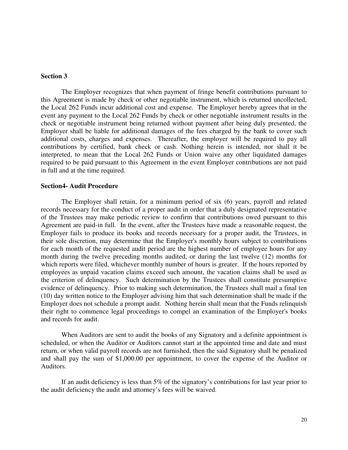## **Section 3**

 The Employer recognizes that when payment of fringe benefit contributions pursuant to this Agreement is made by check or other negotiable instrument, which is returned uncollected, the Local 262 Funds incur additional cost and expense. The Employer hereby agrees that in the event any payment to the Local 262 Funds by check or other negotiable instrument results in the check or negotiable instrument being returned without payment after being duly presented, the Employer shall be liable for additional damages of the fees charged by the bank to cover such additional costs, charges and expenses. Thereafter, the employer will be required to pay all contributions by certified, bank check or cash. Nothing herein is intended, nor shall it be interpreted, to mean that the Local 262 Funds or Union waive any other liquidated damages required to be paid pursuant to this Agreement in the event Employer contributions are not paid in full and at the time required.

#### **Section4- Audit Procedure**

 The Employer shall retain, for a minimum period of six (6) years, payroll and related records necessary for the conduct of a proper audit in order that a duly designated representative of the Trustees may make periodic review to confirm that contributions owed pursuant to this Agreement are paid-in full. In the event, after the Trustees have made a reasonable request, the Employer fails to produce its books and records necessary for a proper audit, the Trustees, in their sole discretion, may determine that the Employer's monthly hours subject to contributions for each month of the requested audit period are the highest number of employee hours for any month during the twelve preceding months audited, or during the last twelve (12) months for which reports were filed, whichever monthly number of hours is greater. If the hours reported by employees as unpaid vacation claims exceed such amount, the vacation claims shall be used as the criterion of delinquency. Such determination by the Trustees shall constitute presumptive evidence of delinquency. Prior to making such determination, the Trustees shall mail a final ten (10) day written notice to the Employer advising him that such determination shall be made if the Employer does not schedule a prompt audit. Nothing herein shall mean that the Funds relinquish their right to commence legal proceedings to compel an examination of the Employer's books and records for audit.

When Auditors are sent to audit the books of any Signatory and a definite appointment is scheduled, or when the Auditor or Auditors cannot start at the appointed time and date and must return, or when valid payroll records are not furnished, then the said Signatory shall be penalized and shall pay the sum of \$1,000.00 per appointment, to cover the expense of the Auditor or Auditors.

If an audit deficiency is less than 5% of the signatory's contributions for last year prior to the audit deficiency the audit and attorney's fees will be waived.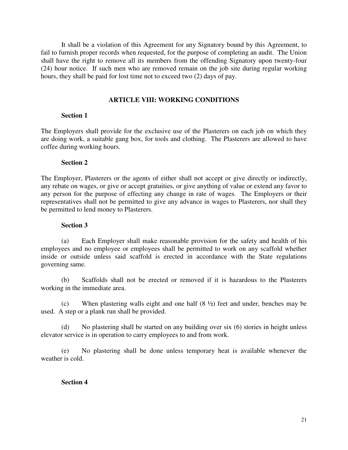It shall be a violation of this Agreement for any Signatory bound by this Agreement, to fail to furnish proper records when requested, for the purpose of completing an audit. The Union shall have the right to remove all its members from the offending Signatory upon twenty-four (24) hour notice. If such men who are removed remain on the job site during regular working hours, they shall be paid for lost time not to exceed two (2) days of pay.

## **ARTICLE VIII: WORKING CONDITIONS**

## **Section 1**

The Employers shall provide for the exclusive use of the Plasterers on each job on which they are doing work, a suitable gang box, for tools and clothing. The Plasterers are allowed to have coffee during working hours.

## **Section 2**

The Employer, Plasterers or the agents of either shall not accept or give directly or indirectly, any rebate on wages, or give or accept gratuities, or give anything of value or extend any favor to any person for the purpose of effecting any change in rate of wages. The Employers or their representatives shall not be permitted to give any advance in wages to Plasterers, nor shall they be permitted to lend money to Plasterers.

#### **Section 3**

(a) Each Employer shall make reasonable provision for the safety and health of his employees and no employee or employees shall be permitted to work on any scaffold whether inside or outside unless said scaffold is erected in accordance with the State regulations governing same.

(b) Scaffolds shall not be erected or removed if it is hazardous to the Plasterers working in the immediate area.

(c) When plastering walls eight and one half (8 ½) feet and under, benches may be used. A step or a plank run shall be provided.

(d) No plastering shall be started on any building over six (6) stories in height unless elevator service is in operation to carry employees to and from work.

(e) No plastering shall be done unless temporary heat is available whenever the weather is cold.

## **Section 4**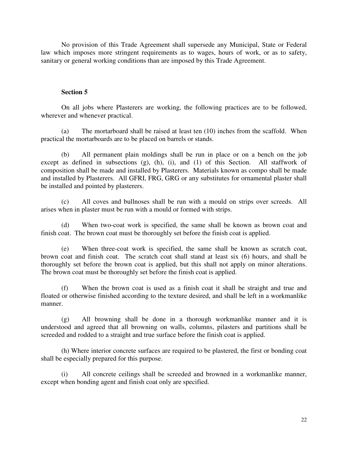No provision of this Trade Agreement shall supersede any Municipal, State or Federal law which imposes more stringent requirements as to wages, hours of work, or as to safety, sanitary or general working conditions than are imposed by this Trade Agreement.

#### **Section 5**

On all jobs where Plasterers are working, the following practices are to be followed, wherever and whenever practical.

(a) The mortarboard shall be raised at least ten (10) inches from the scaffold. When practical the mortarboards are to be placed on barrels or stands.

(b) All permanent plain moldings shall be run in place or on a bench on the job except as defined in subsections (g), (h), (i), and (1) of this Section. All staffwork of composition shall be made and installed by Plasterers. Materials known as compo shall be made and installed by Plasterers. All GFRI, FRG, GRG or any substitutes for ornamental plaster shall be installed and pointed by plasterers.

(c) All coves and bullnoses shall be run with a mould on strips over screeds. All arises when in plaster must be run with a mould or formed with strips.

(d) When two-coat work is specified, the same shall be known as brown coat and finish coat. The brown coat must be thoroughly set before the finish coat is applied.

(e) When three-coat work is specified, the same shall be known as scratch coat, brown coat and finish coat. The scratch coat shall stand at least six (6) hours, and shall be thoroughly set before the brown coat is applied, but this shall not apply on minor alterations. The brown coat must be thoroughly set before the finish coat is applied.

(f) When the brown coat is used as a finish coat it shall be straight and true and floated or otherwise finished according to the texture desired, and shall be left in a workmanlike manner.

(g) All browning shall be done in a thorough workmanlike manner and it is understood and agreed that all browning on walls, columns, pilasters and partitions shall be screeded and rodded to a straight and true surface before the finish coat is applied.

(h) Where interior concrete surfaces are required to be plastered, the first or bonding coat shall be especially prepared for this purpose.

(i) All concrete ceilings shall be screeded and browned in a workmanlike manner, except when bonding agent and finish coat only are specified.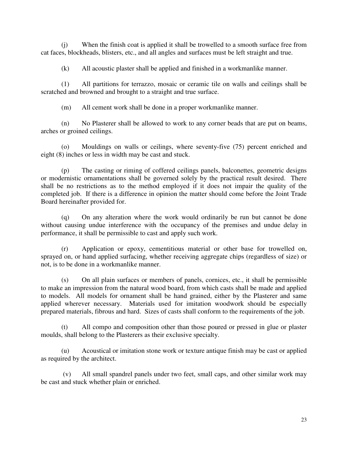(j) When the finish coat is applied it shall be trowelled to a smooth surface free from cat faces, blockheads, blisters, etc., and all angles and surfaces must be left straight and true.

(k) All acoustic plaster shall be applied and finished in a workmanlike manner.

(1) All partitions for terrazzo, mosaic or ceramic tile on walls and ceilings shall be scratched and browned and brought to a straight and true surface.

(m) All cement work shall be done in a proper workmanlike manner.

(n) No Plasterer shall be allowed to work to any corner beads that are put on beams, arches or groined ceilings.

(o) Mouldings on walls or ceilings, where seventy-five (75) percent enriched and eight (8) inches or less in width may be cast and stuck.

(p) The casting or riming of coffered ceilings panels, balconettes, geometric designs or modernistic ornamentations shall be governed solely by the practical result desired. There shall be no restrictions as to the method employed if it does not impair the quality of the completed job. If there is a difference in opinion the matter should come before the Joint Trade Board hereinafter provided for.

(q) On any alteration where the work would ordinarily be run but cannot be done without causing undue interference with the occupancy of the premises and undue delay in performance, it shall be permissible to cast and apply such work.

(r) Application or epoxy, cementitious material or other base for trowelled on, sprayed on, or hand applied surfacing, whether receiving aggregate chips (regardless of size) or not, is to be done in a workmanlike manner.

(s) On all plain surfaces or members of panels, cornices, etc., it shall be permissible to make an impression from the natural wood board, from which casts shall be made and applied to models. All models for ornament shall be hand grained, either by the Plasterer and same applied wherever necessary. Materials used for imitation woodwork should be especially prepared materials, fibrous and hard. Sizes of casts shall conform to the requirements of the job.

(t) All compo and composition other than those poured or pressed in glue or plaster moulds, shall belong to the Plasterers as their exclusive specialty.

(u) Acoustical or imitation stone work or texture antique finish may be cast or applied as required by the architect.

 (v) All small spandrel panels under two feet, small caps, and other similar work may be cast and stuck whether plain or enriched.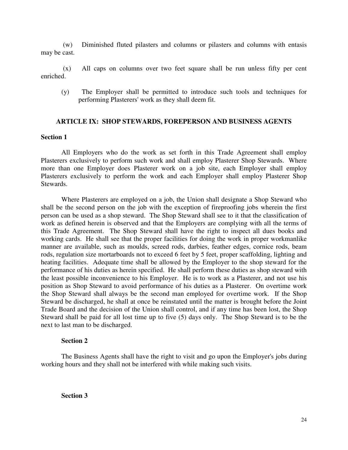(w) Diminished fluted pilasters and columns or pilasters and columns with entasis may be cast.

 (x) All caps on columns over two feet square shall be run unless fifty per cent enriched.

(y) The Employer shall be permitted to introduce such tools and techniques for performing Plasterers' work as they shall deem fit.

#### **ARTICLE IX: SHOP STEWARDS, FOREPERSON AND BUSINESS AGENTS**

#### **Section 1**

 All Employers who do the work as set forth in this Trade Agreement shall employ Plasterers exclusively to perform such work and shall employ Plasterer Shop Stewards. Where more than one Employer does Plasterer work on a job site, each Employer shall employ Plasterers exclusively to perform the work and each Employer shall employ Plasterer Shop Stewards.

 Where Plasterers are employed on a job, the Union shall designate a Shop Steward who shall be the second person on the job with the exception of fireproofing jobs wherein the first person can be used as a shop steward. The Shop Steward shall see to it that the classification of work as defined herein is observed and that the Employers are complying with all the terms of this Trade Agreement. The Shop Steward shall have the right to inspect all dues books and working cards. He shall see that the proper facilities for doing the work in proper workmanlike manner are available, such as moulds, screed rods, darbies, feather edges, cornice rods, beam rods, regulation size mortarboards not to exceed 6 feet by 5 feet, proper scaffolding, lighting and heating facilities. Adequate time shall be allowed by the Employer to the shop steward for the performance of his duties as herein specified. He shall perform these duties as shop steward with the least possible inconvenience to his Employer. He is to work as a Plasterer, and not use his position as Shop Steward to avoid performance of his duties as a Plasterer. On overtime work the Shop Steward shall always be the second man employed for overtime work. If the Shop Steward be discharged, he shall at once be reinstated until the matter is brought before the Joint Trade Board and the decision of the Union shall control, and if any time has been lost, the Shop Steward shall be paid for all lost time up to five (5) days only. The Shop Steward is to be the next to last man to be discharged.

#### **Section 2**

The Business Agents shall have the right to visit and go upon the Employer's jobs during working hours and they shall not be interfered with while making such visits.

**Section 3**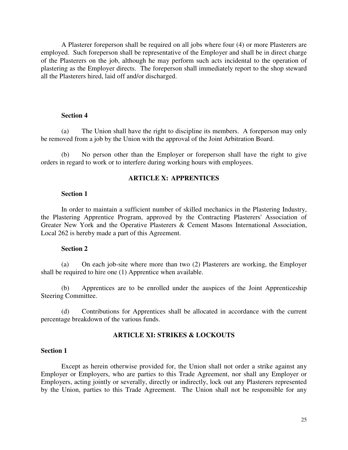A Plasterer foreperson shall be required on all jobs where four (4) or more Plasterers are employed. Such foreperson shall be representative of the Employer and shall be in direct charge of the Plasterers on the job, although he may perform such acts incidental to the operation of plastering as the Employer directs. The foreperson shall immediately report to the shop steward all the Plasterers hired, laid off and/or discharged.

#### **Section 4**

(a) The Union shall have the right to discipline its members. A foreperson may only be removed from a job by the Union with the approval of the Joint Arbitration Board.

(b) No person other than the Employer or foreperson shall have the right to give orders in regard to work or to interfere during working hours with employees.

## **ARTICLE X: APPRENTICES**

## **Section 1**

In order to maintain a sufficient number of skilled mechanics in the Plastering Industry, the Plastering Apprentice Program, approved by the Contracting Plasterers' Association of Greater New York and the Operative Plasterers & Cement Masons International Association, Local 262 is hereby made a part of this Agreement.

#### **Section 2**

(a) On each job-site where more than two (2) Plasterers are working, the Employer shall be required to hire one (1) Apprentice when available.

 (b) Apprentices are to be enrolled under the auspices of the Joint Apprenticeship Steering Committee.

(d) Contributions for Apprentices shall be allocated in accordance with the current percentage breakdown of the various funds.

## **ARTICLE XI: STRIKES & LOCKOUTS**

#### **Section 1**

Except as herein otherwise provided for, the Union shall not order a strike against any Employer or Employers, who are parties to this Trade Agreement, nor shall any Employer or Employers, acting jointly or severally, directly or indirectly, lock out any Plasterers represented by the Union, parties to this Trade Agreement. The Union shall not be responsible for any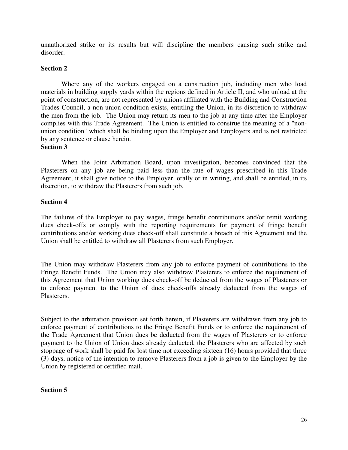unauthorized strike or its results but will discipline the members causing such strike and disorder.

## **Section 2**

 Where any of the workers engaged on a construction job, including men who load materials in building supply yards within the regions defined in Article II, and who unload at the point of construction, are not represented by unions affiliated with the Building and Construction Trades Council, a non-union condition exists, entitling the Union, in its discretion to withdraw the men from the job. The Union may return its men to the job at any time after the Employer complies with this Trade Agreement. The Union is entitled to construe the meaning of a "nonunion condition" which shall be binding upon the Employer and Employers and is not restricted by any sentence or clause herein.

## **Section 3**

 When the Joint Arbitration Board, upon investigation, becomes convinced that the Plasterers on any job are being paid less than the rate of wages prescribed in this Trade Agreement, it shall give notice to the Employer, orally or in writing, and shall be entitled, in its discretion, to withdraw the Plasterers from such job.

## **Section 4**

The failures of the Employer to pay wages, fringe benefit contributions and/or remit working dues check-offs or comply with the reporting requirements for payment of fringe benefit contributions and/or working dues check-off shall constitute a breach of this Agreement and the Union shall be entitled to withdraw all Plasterers from such Employer.

The Union may withdraw Plasterers from any job to enforce payment of contributions to the Fringe Benefit Funds. The Union may also withdraw Plasterers to enforce the requirement of this Agreement that Union working dues check-off be deducted from the wages of Plasterers or to enforce payment to the Union of dues check-offs already deducted from the wages of Plasterers.

Subject to the arbitration provision set forth herein, if Plasterers are withdrawn from any job to enforce payment of contributions to the Fringe Benefit Funds or to enforce the requirement of the Trade Agreement that Union dues be deducted from the wages of Plasterers or to enforce payment to the Union of Union dues already deducted, the Plasterers who are affected by such stoppage of work shall be paid for lost time not exceeding sixteen (16) hours provided that three (3) days, notice of the intention to remove Plasterers from a job is given to the Employer by the Union by registered or certified mail.

## **Section 5**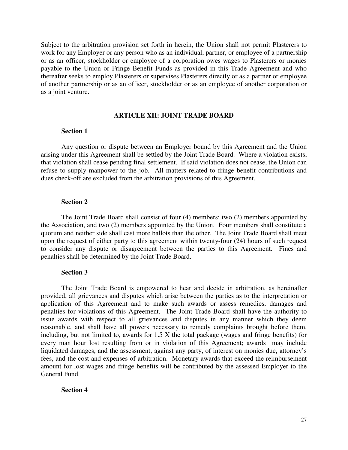Subject to the arbitration provision set forth in herein, the Union shall not permit Plasterers to work for any Employer or any person who as an individual, partner, or employee of a partnership or as an officer, stockholder or employee of a corporation owes wages to Plasterers or monies payable to the Union or Fringe Benefit Funds as provided in this Trade Agreement and who thereafter seeks to employ Plasterers or supervises Plasterers directly or as a partner or employee of another partnership or as an officer, stockholder or as an employee of another corporation or as a joint venture.

#### **ARTICLE XII: JOINT TRADE BOARD**

## **Section 1**

 Any question or dispute between an Employer bound by this Agreement and the Union arising under this Agreement shall be settled by the Joint Trade Board. Where a violation exists, that violation shall cease pending final settlement. If said violation does not cease, the Union can refuse to supply manpower to the job. All matters related to fringe benefit contributions and dues check-off are excluded from the arbitration provisions of this Agreement.

#### **Section 2**

 The Joint Trade Board shall consist of four (4) members: two (2) members appointed by the Association, and two (2) members appointed by the Union. Four members shall constitute a quorum and neither side shall cast more ballots than the other. The Joint Trade Board shall meet upon the request of either party to this agreement within twenty-four (24) hours of such request to consider any dispute or disagreement between the parties to this Agreement. Fines and penalties shall be determined by the Joint Trade Board.

## **Section 3**

 The Joint Trade Board is empowered to hear and decide in arbitration, as hereinafter provided, all grievances and disputes which arise between the parties as to the interpretation or application of this Agreement and to make such awards or assess remedies, damages and penalties for violations of this Agreement. The Joint Trade Board shall have the authority to issue awards with respect to all grievances and disputes in any manner which they deem reasonable, and shall have all powers necessary to remedy complaints brought before them, including, but not limited to, awards for 1.5 X the total package (wages and fringe benefits) for every man hour lost resulting from or in violation of this Agreement; awards may include liquidated damages, and the assessment, against any party, of interest on monies due, attorney's fees, and the cost and expenses of arbitration. Monetary awards that exceed the reimbursement amount for lost wages and fringe benefits will be contributed by the assessed Employer to the General Fund.

#### **Section 4**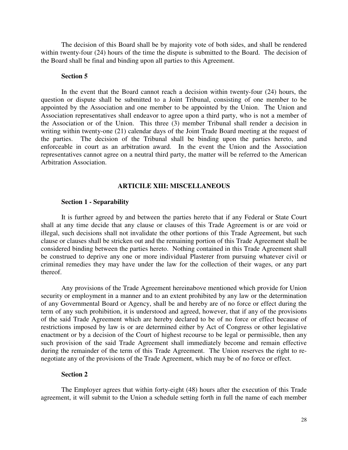The decision of this Board shall be by majority vote of both sides, and shall be rendered within twenty-four (24) hours of the time the dispute is submitted to the Board. The decision of the Board shall be final and binding upon all parties to this Agreement.

## **Section 5**

 In the event that the Board cannot reach a decision within twenty-four (24) hours, the question or dispute shall be submitted to a Joint Tribunal, consisting of one member to be appointed by the Association and one member to be appointed by the Union. The Union and Association representatives shall endeavor to agree upon a third party, who is not a member of the Association or of the Union. This three (3) member Tribunal shall render a decision in writing within twenty-one (21) calendar days of the Joint Trade Board meeting at the request of the parties. The decision of the Tribunal shall be binding upon the parties hereto, and enforceable in court as an arbitration award. In the event the Union and the Association representatives cannot agree on a neutral third party, the matter will be referred to the American Arbitration Association.

#### **ARTICILE XIII: MISCELLANEOUS**

#### **Section 1 - Separability**

 It is further agreed by and between the parties hereto that if any Federal or State Court shall at any time decide that any clause or clauses of this Trade Agreement is or are void or illegal, such decisions shall not invalidate the other portions of this Trade Agreement, but such clause or clauses shall be stricken out and the remaining portion of this Trade Agreement shall be considered binding between the parties hereto. Nothing contained in this Trade Agreement shall be construed to deprive any one or more individual Plasterer from pursuing whatever civil or criminal remedies they may have under the law for the collection of their wages, or any part thereof.

 Any provisions of the Trade Agreement hereinabove mentioned which provide for Union security or employment in a manner and to an extent prohibited by any law or the determination of any Governmental Board or Agency, shall be and hereby are of no force or effect during the term of any such prohibition, it is understood and agreed, however, that if any of the provisions of the said Trade Agreement which are hereby declared to be of no force or effect because of restrictions imposed by law is or are determined either by Act of Congress or other legislative enactment or by a decision of the Court of highest recourse to be legal or permissible, then any such provision of the said Trade Agreement shall immediately become and remain effective during the remainder of the term of this Trade Agreement. The Union reserves the right to renegotiate any of the provisions of the Trade Agreement, which may be of no force or effect.

#### **Section 2**

The Employer agrees that within forty-eight (48) hours after the execution of this Trade agreement, it will submit to the Union a schedule setting forth in full the name of each member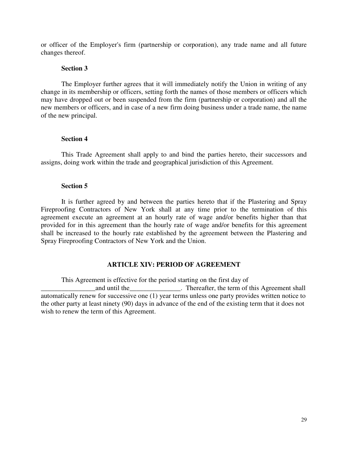or officer of the Employer's firm (partnership or corporation), any trade name and all future changes thereof.

#### **Section 3**

The Employer further agrees that it will immediately notify the Union in writing of any change in its membership or officers, setting forth the names of those members or officers which may have dropped out or been suspended from the firm (partnership or corporation) and all the new members or officers, and in case of a new firm doing business under a trade name, the name of the new principal.

## **Section 4**

This Trade Agreement shall apply to and bind the parties hereto, their successors and assigns, doing work within the trade and geographical jurisdiction of this Agreement.

## **Section 5**

It is further agreed by and between the parties hereto that if the Plastering and Spray Fireproofing Contractors of New York shall at any time prior to the termination of this agreement execute an agreement at an hourly rate of wage and/or benefits higher than that provided for in this agreement than the hourly rate of wage and/or benefits for this agreement shall be increased to the hourly rate established by the agreement between the Plastering and Spray Fireproofing Contractors of New York and the Union.

## **ARTICLE XIV: PERIOD OF AGREEMENT**

This Agreement is effective for the period starting on the first day of

and until the \_\_\_\_\_\_\_\_\_\_\_\_\_\_\_\_. Thereafter, the term of this Agreement shall automatically renew for successive one (1) year terms unless one party provides written notice to the other party at least ninety (90) days in advance of the end of the existing term that it does not wish to renew the term of this Agreement.